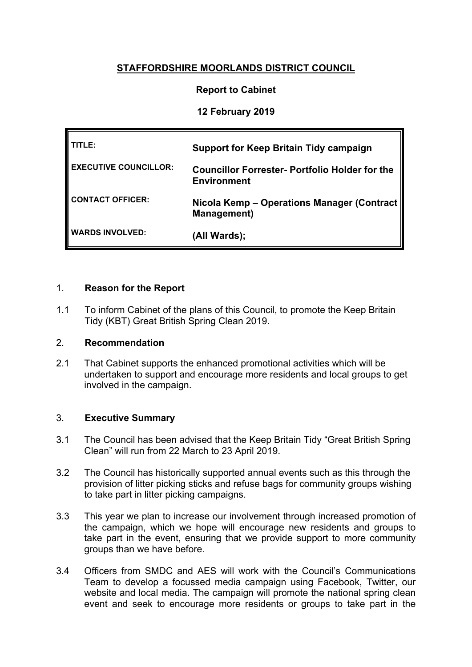# **STAFFORDSHIRE MOORLANDS DISTRICT COUNCIL**

# **Report to Cabinet**

### **12 February 2019**

| I TITLE: I            | <b>Support for Keep Britain Tidy campaign</b>                               |
|-----------------------|-----------------------------------------------------------------------------|
| EXECUTIVE COUNCILLOR: | <b>Councillor Forrester- Portfolio Holder for the</b><br><b>Environment</b> |
| CONTACT OFFICER:      | Nicola Kemp - Operations Manager (Contract   <br><b>Management</b> )        |
| WARDS INVOLVED:       | (All Wards);                                                                |

#### 1. **Reason for the Report**

1.1 To inform Cabinet of the plans of this Council, to promote the Keep Britain Tidy (KBT) Great British Spring Clean 2019.

#### 2. **Recommendation**

2.1 That Cabinet supports the enhanced promotional activities which will be undertaken to support and encourage more residents and local groups to get involved in the campaign.

### 3. **Executive Summary**

- 3.1 The Council has been advised that the Keep Britain Tidy "Great British Spring Clean" will run from 22 March to 23 April 2019.
- 3.2 The Council has historically supported annual events such as this through the provision of litter picking sticks and refuse bags for community groups wishing to take part in litter picking campaigns.
- 3.3 This year we plan to increase our involvement through increased promotion of the campaign, which we hope will encourage new residents and groups to take part in the event, ensuring that we provide support to more community groups than we have before.
- 3.4 Officers from SMDC and AES will work with the Council's Communications Team to develop a focussed media campaign using Facebook, Twitter, our website and local media. The campaign will promote the national spring clean event and seek to encourage more residents or groups to take part in the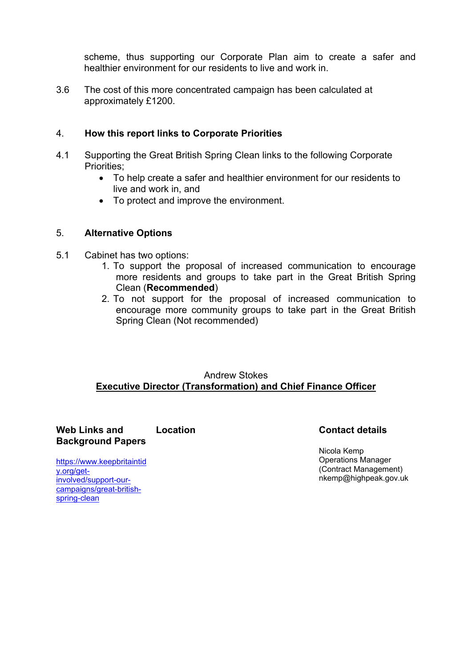scheme, thus supporting our Corporate Plan aim to create a safer and healthier environment for our residents to live and work in.

3.6 The cost of this more concentrated campaign has been calculated at approximately £1200.

### 4. **How this report links to Corporate Priorities**

- 4.1 Supporting the Great British Spring Clean links to the following Corporate Priorities;
	- To help create a safer and healthier environment for our residents to live and work in, and
	- To protect and improve the environment.

#### 5. **Alternative Options**

- 5.1 Cabinet has two options:
	- 1. To support the proposal of increased communication to encourage more residents and groups to take part in the Great British Spring Clean (**Recommended**)
	- 2. To not support for the proposal of increased communication to encourage more community groups to take part in the Great British Spring Clean (Not recommended)

### Andrew Stokes **Executive Director (Transformation) and Chief Finance Officer**

**Web Links and Background Papers Location Contact details**

Nicola Kemp Operations Manager (Contract Management) nkemp@highpeak.gov.uk

[https://www.keepbritaintid](https://www.keepbritaintidy.org/get-involved/support-our-campaigns/great-british-spring-clean) [y.org/get](https://www.keepbritaintidy.org/get-involved/support-our-campaigns/great-british-spring-clean)[involved/support-our](https://www.keepbritaintidy.org/get-involved/support-our-campaigns/great-british-spring-clean)[campaigns/great-british](https://www.keepbritaintidy.org/get-involved/support-our-campaigns/great-british-spring-clean)[spring-clean](https://www.keepbritaintidy.org/get-involved/support-our-campaigns/great-british-spring-clean)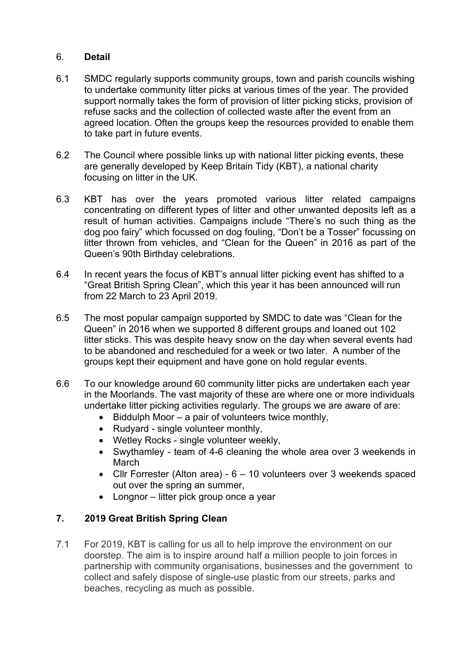# 6. **Detail**

- 6.1 SMDC regularly supports community groups, town and parish councils wishing to undertake community litter picks at various times of the year. The provided support normally takes the form of provision of litter picking sticks, provision of refuse sacks and the collection of collected waste after the event from an agreed location. Often the groups keep the resources provided to enable them to take part in future events.
- 6.2 The Council where possible links up with national litter picking events, these are generally developed by Keep Britain Tidy (KBT), a national charity focusing on litter in the UK.
- 6.3 KBT has over the years promoted various litter related campaigns concentrating on different types of litter and other unwanted deposits left as a result of human activities. Campaigns include "There's no such thing as the dog poo fairy" which focussed on dog fouling, "Don't be a Tosser" focussing on litter thrown from vehicles, and "Clean for the Queen" in 2016 as part of the Queen's 90th Birthday celebrations.
- 6.4 In recent years the focus of KBT's annual litter picking event has shifted to a "Great British Spring Clean", which this year it has been announced will run from 22 March to 23 April 2019.
- 6.5 The most popular campaign supported by SMDC to date was "Clean for the Queen" in 2016 when we supported 8 different groups and loaned out 102 litter sticks. This was despite heavy snow on the day when several events had to be abandoned and rescheduled for a week or two later. A number of the groups kept their equipment and have gone on hold regular events.
- 6.6 To our knowledge around 60 community litter picks are undertaken each year in the Moorlands. The vast majority of these are where one or more individuals undertake litter picking activities regularly. The groups we are aware of are:
	- $\bullet$  Biddulph Moor a pair of volunteers twice monthly,
	- Rudyard single volunteer monthly,
	- Wetley Rocks single volunteer weekly,
	- Swythamley team of 4-6 cleaning the whole area over 3 weekends in **March**
	- Cllr Forrester (Alton area) 6 10 volunteers over 3 weekends spaced out over the spring an summer,
	- Longnor litter pick group once a year

# **7. 2019 Great British Spring Clean**

7.1 For 2019, KBT is calling for us all to help improve the environment on our doorstep. The aim is to inspire around half a million people to join forces in partnership with community organisations, businesses and the government to collect and safely dispose of single-use plastic from our streets, parks and beaches, recycling as much as possible.